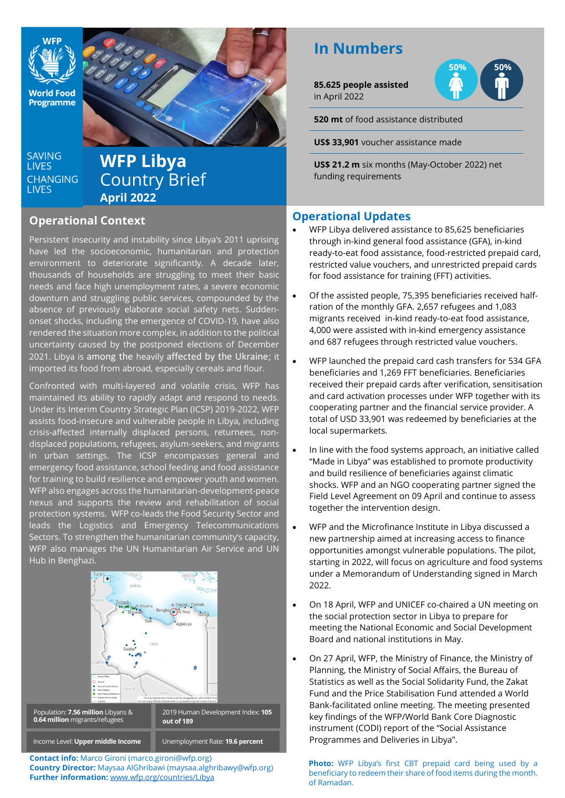

**World Food** Programme

**SAVING LIVES CHANGING LIVES** 

# **WFP Libya** Country Brief **April 2022**

## **Operational Context**

Persistent insecurity and instability since Libya's 2011 uprising have led the socioeconomic, humanitarian and protection environment to deteriorate significantly. A decade later, thousands of households are struggling to meet their basic needs and face high unemployment rates, a severe economic downturn and struggling public services, compounded by the absence of previously elaborate social safety nets. Suddenonset shocks, including the emergence of COVID-19, have also rendered the situation more complex, in addition to the political uncertainty caused by the postponed elections of December 2021. Libya is among the heavily affected by the Ukraine; it imported its food from abroad, especially cereals and flour.

Confronted with multi-layered and volatile crisis, WFP has maintained its ability to rapidly adapt and respond to needs. Under its Interim Country Strategic Plan (ICSP) 2019-2022, WFP assists food-insecure and vulnerable people in Libya, including crisis-affected internally displaced persons, returnees, nondisplaced populations, refugees, asylum-seekers, and migrants in urban settings. The ICSP encompasses general and emergency food assistance, school feeding and food assistance for training to build resilience and empower youth and women. WFP also engages across the humanitarian-development-peace nexus and supports the review and rehabilitation of social protection systems. WF<u>P c</u>o-leads the F<u>ood Security Sector and</u> leads the Logistics and Emergency Telecommunications Sectors. To strengthen the humanitarian community's capacity, WFP also manages the UN Humanitarian Air Service and UN Hub in Benghazi.



**Contact info:** Marco Gironi (marco.gironi@wfp.org) **Country Director:** Maysaa AlGhribawi [\(maysaa.alghribawy@wfp.org\)](mailto:maysaa.alghribawy@wfp.org) **Further information:** [www.wfp.org/countries/Libya](http://www.wfp.org/countries/Libya)

# **In Numbers**

**85.625 people assisted** in April 2022



**520 mt** of food assistance distributed

**US\$ 33,901** voucher assistance made

**US\$ 21.2 m** six months (May-October 2022) net funding requirements

## **Operational Updates**

- WFP Libya delivered assistance to 85,625 beneficiaries through in-kind general food assistance (GFA), in-kind ready-to-eat food assistance, food-restricted prepaid card, restricted value vouchers, and unrestricted prepaid cards for food assistance for training (FFT) activities.
- Of the assisted people, 75,395 beneficiaries received halfration of the monthly GFA. 2,657 refugees and 1,083 migrants received in-kind ready-to-eat food assistance, 4,000 were assisted with in-kind emergency assistance and 687 refugees through restricted value vouchers.
- [WFP launched the prepaid card cash transfers](https://fb.watch/d1WRx7SeX7/) for 534 GFA beneficiaries and 1,269 FFT beneficiaries. Beneficiaries received their prepaid cards after verification, sensitisation and card activation processes under WFP together with its cooperating partner and the financial service provider. A total of USD 33,901 was redeemed by beneficiaries at the local supermarkets.
- In line with the food systems approach, an initiative called "Made in Libya" was established to promote productivity and build resilience of beneficiaries against climatic shocks. WFP and an NGO cooperating partner signed the Field Level Agreement on 09 April and continue to assess together the intervention design.
- WFP and the Microfinance Institute in Libya discussed a new partnership aimed at increasing access to finance opportunities amongst vulnerable populations. The pilot, starting in 2022, will focus on agriculture and food systems under a Memorandum of Understanding signed in March 2022.
- On 18 April, WFP and UNICEF co-chaired a UN meeting on the social protection sector in Libya to prepare for meeting the National Economic and Social Development Board and national institutions in May.
- On 27 April, WFP, the Ministry of Finance, the Ministry of Planning, the Ministry of Social Affairs, the Bureau of Statistics as well as the Social Solidarity Fund, the Zakat Fund and the Price Stabilisation Fund attended a World Bank-facilitated online meeting. The meeting presented key findings of the WFP/World Bank Core Diagnostic instrument (CODI) report of the "Social Assistance Programmes and Deliveries in Libya".

**Photo:** WFP Libya's first CBT prepaid card being used by a beneficiary to redeem their share of food items during the month. of Ramadan.